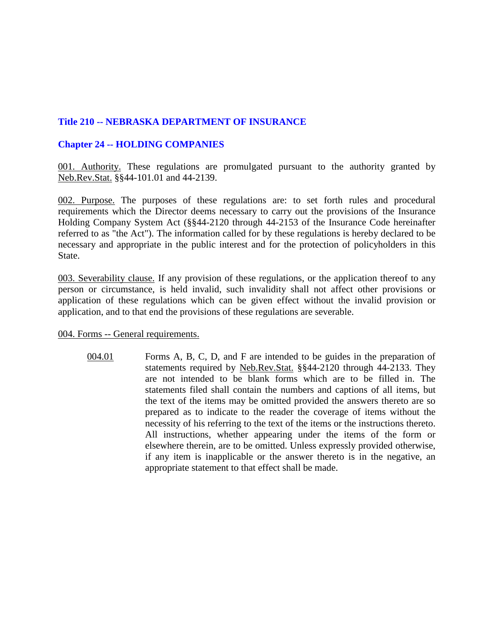## **Title 210 -- NEBRASKA DEPARTMENT OF INSURANCE**

## **Chapter 24 -- HOLDING COMPANIES**

001. Authority. These regulations are promulgated pursuant to the authority granted by Neb.Rev.Stat. §§44-101.01 and 44-2139.

002. Purpose. The purposes of these regulations are: to set forth rules and procedural requirements which the Director deems necessary to carry out the provisions of the Insurance Holding Company System Act (§§44-2120 through 44-2153 of the Insurance Code hereinafter referred to as "the Act"). The information called for by these regulations is hereby declared to be necessary and appropriate in the public interest and for the protection of policyholders in this State.

003. Severability clause. If any provision of these regulations, or the application thereof to any person or circumstance, is held invalid, such invalidity shall not affect other provisions or application of these regulations which can be given effect without the invalid provision or application, and to that end the provisions of these regulations are severable.

004. Forms -- General requirements.

004.01 Forms A, B, C, D, and F are intended to be guides in the preparation of statements required by Neb.Rev.Stat. §§44-2120 through 44-2133. They are not intended to be blank forms which are to be filled in. The statements filed shall contain the numbers and captions of all items, but the text of the items may be omitted provided the answers thereto are so prepared as to indicate to the reader the coverage of items without the necessity of his referring to the text of the items or the instructions thereto. All instructions, whether appearing under the items of the form or elsewhere therein, are to be omitted. Unless expressly provided otherwise, if any item is inapplicable or the answer thereto is in the negative, an appropriate statement to that effect shall be made.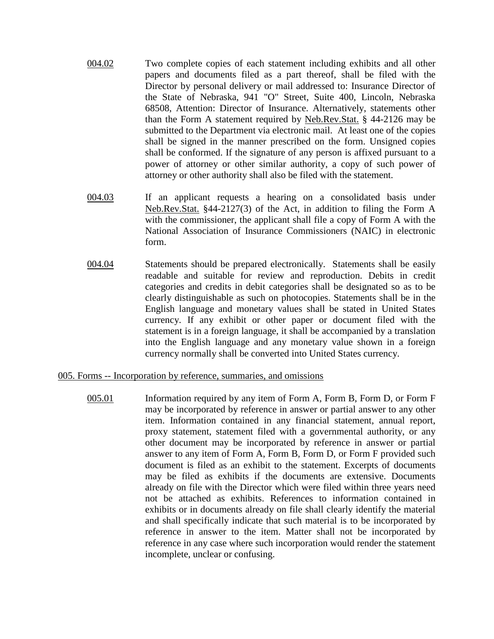- 004.02 Two complete copies of each statement including exhibits and all other papers and documents filed as a part thereof, shall be filed with the Director by personal delivery or mail addressed to: Insurance Director of the State of Nebraska, 941 "O" Street, Suite 400, Lincoln, Nebraska 68508, Attention: Director of Insurance. Alternatively, statements other than the Form A statement required by Neb.Rev.Stat. § 44-2126 may be submitted to the Department via electronic mail. At least one of the copies shall be signed in the manner prescribed on the form. Unsigned copies shall be conformed. If the signature of any person is affixed pursuant to a power of attorney or other similar authority, a copy of such power of attorney or other authority shall also be filed with the statement.
- 004.03 If an applicant requests a hearing on a consolidated basis under Neb.Rev.Stat. §44-2127(3) of the Act, in addition to filing the Form A with the commissioner, the applicant shall file a copy of Form A with the National Association of Insurance Commissioners (NAIC) in electronic form.
- 004.04 Statements should be prepared electronically. Statements shall be easily readable and suitable for review and reproduction. Debits in credit categories and credits in debit categories shall be designated so as to be clearly distinguishable as such on photocopies. Statements shall be in the English language and monetary values shall be stated in United States currency. If any exhibit or other paper or document filed with the statement is in a foreign language, it shall be accompanied by a translation into the English language and any monetary value shown in a foreign currency normally shall be converted into United States currency.

#### 005. Forms -- Incorporation by reference, summaries, and omissions

005.01 Information required by any item of Form A, Form B, Form D, or Form F may be incorporated by reference in answer or partial answer to any other item. Information contained in any financial statement, annual report, proxy statement, statement filed with a governmental authority, or any other document may be incorporated by reference in answer or partial answer to any item of Form A, Form B, Form D, or Form F provided such document is filed as an exhibit to the statement. Excerpts of documents may be filed as exhibits if the documents are extensive. Documents already on file with the Director which were filed within three years need not be attached as exhibits. References to information contained in exhibits or in documents already on file shall clearly identify the material and shall specifically indicate that such material is to be incorporated by reference in answer to the item. Matter shall not be incorporated by reference in any case where such incorporation would render the statement incomplete, unclear or confusing.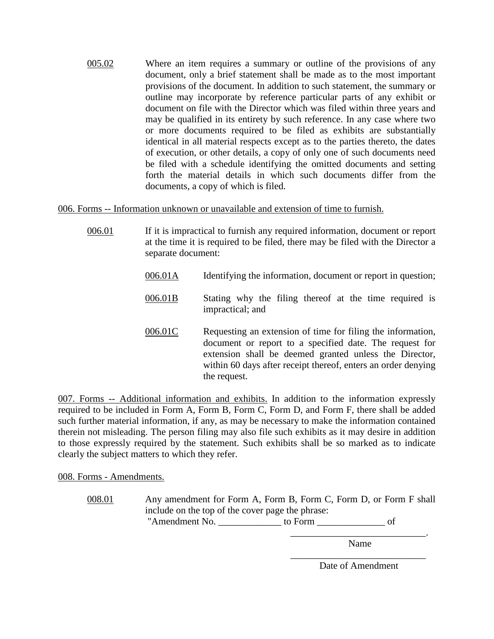005.02 Where an item requires a summary or outline of the provisions of any document, only a brief statement shall be made as to the most important provisions of the document. In addition to such statement, the summary or outline may incorporate by reference particular parts of any exhibit or document on file with the Director which was filed within three years and may be qualified in its entirety by such reference. In any case where two or more documents required to be filed as exhibits are substantially identical in all material respects except as to the parties thereto, the dates of execution, or other details, a copy of only one of such documents need be filed with a schedule identifying the omitted documents and setting forth the material details in which such documents differ from the documents, a copy of which is filed.

006. Forms -- Information unknown or unavailable and extension of time to furnish.

- 006.01 If it is impractical to furnish any required information, document or report at the time it is required to be filed, there may be filed with the Director a separate document:
	- 006.01A Identifying the information, document or report in question;
	- 006.01B Stating why the filing thereof at the time required is impractical; and
	- 006.01C Requesting an extension of time for filing the information, document or report to a specified date. The request for extension shall be deemed granted unless the Director, within 60 days after receipt thereof, enters an order denying the request.

007. Forms -- Additional information and exhibits. In addition to the information expressly required to be included in Form A, Form B, Form C, Form D, and Form F, there shall be added such further material information, if any, as may be necessary to make the information contained therein not misleading. The person filing may also file such exhibits as it may desire in addition to those expressly required by the statement. Such exhibits shall be so marked as to indicate clearly the subject matters to which they refer.

008. Forms - Amendments.

008.01 Any amendment for Form A, Form B, Form C, Form D, or Form F shall include on the top of the cover page the phrase:

"Amendment No. \_\_\_\_\_\_\_\_\_\_\_\_\_\_\_ to Form \_\_\_\_\_\_\_\_\_\_\_\_\_\_\_\_\_\_\_ of

\_\_\_\_\_\_\_\_\_\_\_\_\_\_\_\_\_\_\_\_\_\_\_\_\_\_\_\_. Name

\_\_\_\_\_\_\_\_\_\_\_\_\_\_\_\_\_\_\_\_\_\_\_\_\_\_\_\_ Date of Amendment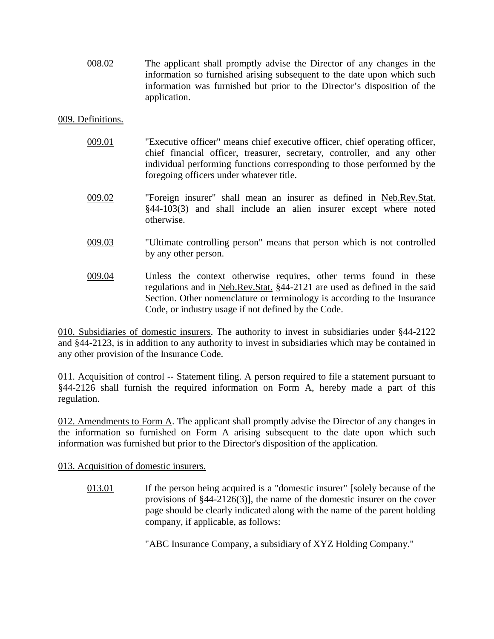008.02 The applicant shall promptly advise the Director of any changes in the information so furnished arising subsequent to the date upon which such information was furnished but prior to the Director's disposition of the application.

## 009. Definitions.

- 009.01 "Executive officer" means chief executive officer, chief operating officer, chief financial officer, treasurer, secretary, controller, and any other individual performing functions corresponding to those performed by the foregoing officers under whatever title.
- 009.02 "Foreign insurer" shall mean an insurer as defined in Neb.Rev.Stat. §44-103(3) and shall include an alien insurer except where noted otherwise.
- 009.03 "Ultimate controlling person" means that person which is not controlled by any other person.
- 009.04 Unless the context otherwise requires, other terms found in these regulations and in Neb.Rev.Stat. §44-2121 are used as defined in the said Section. Other nomenclature or terminology is according to the Insurance Code, or industry usage if not defined by the Code.

010. Subsidiaries of domestic insurers. The authority to invest in subsidiaries under §44-2122 and §44-2123, is in addition to any authority to invest in subsidiaries which may be contained in any other provision of the Insurance Code.

011. Acquisition of control -- Statement filing. A person required to file a statement pursuant to §44-2126 shall furnish the required information on Form A, hereby made a part of this regulation.

012. Amendments to Form A. The applicant shall promptly advise the Director of any changes in the information so furnished on Form A arising subsequent to the date upon which such information was furnished but prior to the Director's disposition of the application.

013. Acquisition of domestic insurers.

013.01 If the person being acquired is a "domestic insurer" [solely because of the provisions of §44-2126(3)], the name of the domestic insurer on the cover page should be clearly indicated along with the name of the parent holding company, if applicable, as follows:

"ABC Insurance Company, a subsidiary of XYZ Holding Company."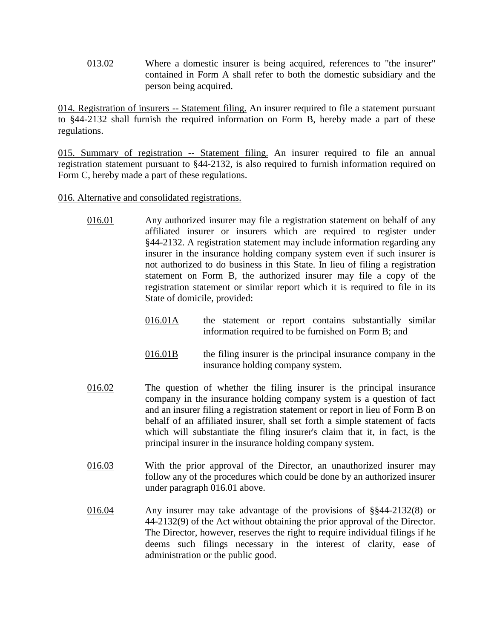013.02 Where a domestic insurer is being acquired, references to "the insurer" contained in Form A shall refer to both the domestic subsidiary and the person being acquired.

014. Registration of insurers -- Statement filing. An insurer required to file a statement pursuant to §44-2132 shall furnish the required information on Form B, hereby made a part of these regulations.

015. Summary of registration -- Statement filing. An insurer required to file an annual registration statement pursuant to §44-2132, is also required to furnish information required on Form C, hereby made a part of these regulations.

016. Alternative and consolidated registrations.

- 016.01 Any authorized insurer may file a registration statement on behalf of any affiliated insurer or insurers which are required to register under §44-2132. A registration statement may include information regarding any insurer in the insurance holding company system even if such insurer is not authorized to do business in this State. In lieu of filing a registration statement on Form B, the authorized insurer may file a copy of the registration statement or similar report which it is required to file in its State of domicile, provided:
	- 016.01A the statement or report contains substantially similar information required to be furnished on Form B; and
	- 016.01B the filing insurer is the principal insurance company in the insurance holding company system.
- 016.02 The question of whether the filing insurer is the principal insurance company in the insurance holding company system is a question of fact and an insurer filing a registration statement or report in lieu of Form B on behalf of an affiliated insurer, shall set forth a simple statement of facts which will substantiate the filing insurer's claim that it, in fact, is the principal insurer in the insurance holding company system.
- 016.03 With the prior approval of the Director, an unauthorized insurer may follow any of the procedures which could be done by an authorized insurer under paragraph 016.01 above.
- 016.04 Any insurer may take advantage of the provisions of §§44-2132(8) or 44-2132(9) of the Act without obtaining the prior approval of the Director. The Director, however, reserves the right to require individual filings if he deems such filings necessary in the interest of clarity, ease of administration or the public good.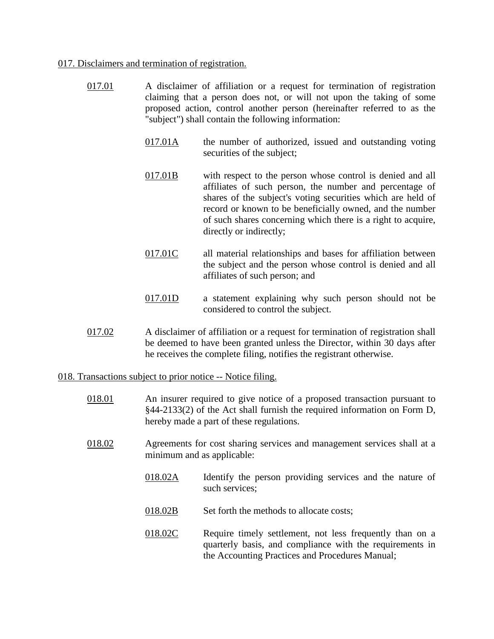#### 017. Disclaimers and termination of registration.

- 017.01 A disclaimer of affiliation or a request for termination of registration claiming that a person does not, or will not upon the taking of some proposed action, control another person (hereinafter referred to as the "subject") shall contain the following information:
	- 017.01A the number of authorized, issued and outstanding voting securities of the subject;
	- 017.01B with respect to the person whose control is denied and all affiliates of such person, the number and percentage of shares of the subject's voting securities which are held of record or known to be beneficially owned, and the number of such shares concerning which there is a right to acquire, directly or indirectly;
	- 017.01C all material relationships and bases for affiliation between the subject and the person whose control is denied and all affiliates of such person; and
	- 017.01D a statement explaining why such person should not be considered to control the subject.
- 017.02 A disclaimer of affiliation or a request for termination of registration shall be deemed to have been granted unless the Director, within 30 days after he receives the complete filing, notifies the registrant otherwise.

### 018. Transactions subject to prior notice -- Notice filing.

- 018.01 An insurer required to give notice of a proposed transaction pursuant to §44-2133(2) of the Act shall furnish the required information on Form D, hereby made a part of these regulations.
- 018.02 Agreements for cost sharing services and management services shall at a minimum and as applicable:
	- 018.02A Identify the person providing services and the nature of such services;
	- 018.02B Set forth the methods to allocate costs;
	- 018.02C Require timely settlement, not less frequently than on a quarterly basis, and compliance with the requirements in the Accounting Practices and Procedures Manual;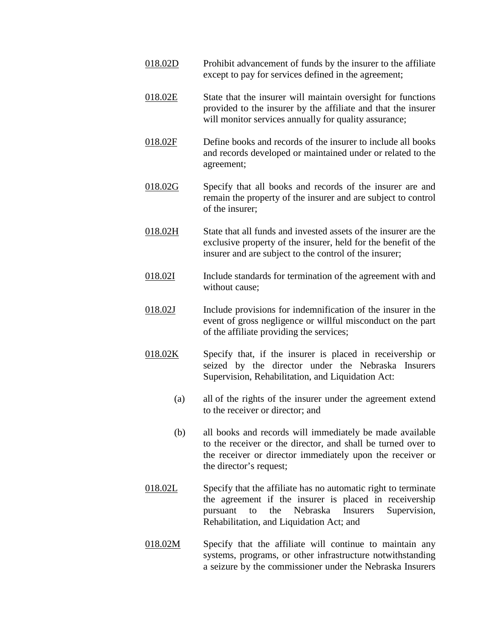- 018.02D Prohibit advancement of funds by the insurer to the affiliate except to pay for services defined in the agreement;
- 018.02E State that the insurer will maintain oversight for functions provided to the insurer by the affiliate and that the insurer will monitor services annually for quality assurance;
- 018.02F Define books and records of the insurer to include all books and records developed or maintained under or related to the agreement;
- 018.02G Specify that all books and records of the insurer are and remain the property of the insurer and are subject to control of the insurer;
- 018.02H State that all funds and invested assets of the insurer are the exclusive property of the insurer, held for the benefit of the insurer and are subject to the control of the insurer;
- 018.02I Include standards for termination of the agreement with and without cause;
- 018.02J Include provisions for indemnification of the insurer in the event of gross negligence or willful misconduct on the part of the affiliate providing the services;
- 018.02K Specify that, if the insurer is placed in receivership or seized by the director under the Nebraska Insurers Supervision, Rehabilitation, and Liquidation Act:
	- (a) all of the rights of the insurer under the agreement extend to the receiver or director; and
	- (b) all books and records will immediately be made available to the receiver or the director, and shall be turned over to the receiver or director immediately upon the receiver or the director's request;
- 018.02L Specify that the affiliate has no automatic right to terminate the agreement if the insurer is placed in receivership pursuant to the Nebraska Insurers Supervision, Rehabilitation, and Liquidation Act; and
- 018.02M Specify that the affiliate will continue to maintain any systems, programs, or other infrastructure notwithstanding a seizure by the commissioner under the Nebraska Insurers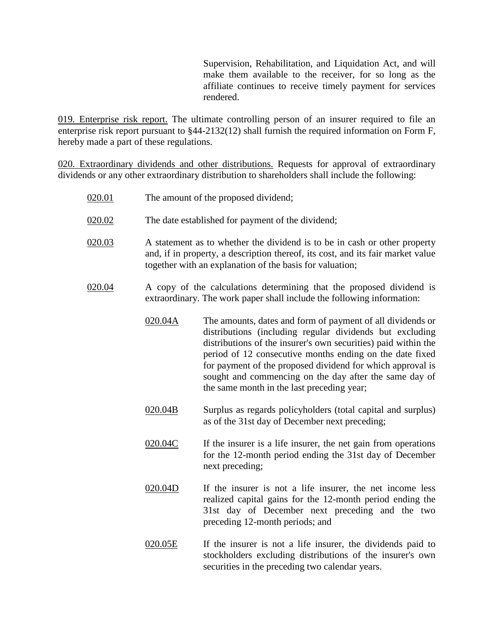Supervision, Rehabilitation, and Liquidation Act, and will make them available to the receiver, for so long as the affiliate continues to receive timely payment for services rendered.

019. Enterprise risk report. The ultimate controlling person of an insurer required to file an enterprise risk report pursuant to §44-2132(12) shall furnish the required information on Form F, hereby made a part of these regulations.

020. Extraordinary dividends and other distributions. Requests for approval of extraordinary dividends or any other extraordinary distribution to shareholders shall include the following:

| 020.01 |                                                                                                                                                | The amount of the proposed dividend;                                                                                                                                                                                                                                                                                                                                                                                       |
|--------|------------------------------------------------------------------------------------------------------------------------------------------------|----------------------------------------------------------------------------------------------------------------------------------------------------------------------------------------------------------------------------------------------------------------------------------------------------------------------------------------------------------------------------------------------------------------------------|
| 020.02 |                                                                                                                                                | The date established for payment of the dividend;                                                                                                                                                                                                                                                                                                                                                                          |
| 020.03 |                                                                                                                                                | A statement as to whether the dividend is to be in cash or other property<br>and, if in property, a description thereof, its cost, and its fair market value<br>together with an explanation of the basis for valuation;                                                                                                                                                                                                   |
| 020.04 | A copy of the calculations determining that the proposed dividend is<br>extraordinary. The work paper shall include the following information: |                                                                                                                                                                                                                                                                                                                                                                                                                            |
|        | 020.04A                                                                                                                                        | The amounts, dates and form of payment of all dividends or<br>distributions (including regular dividends but excluding<br>distributions of the insurer's own securities) paid within the<br>period of 12 consecutive months ending on the date fixed<br>for payment of the proposed dividend for which approval is<br>sought and commencing on the day after the same day of<br>the same month in the last preceding year; |
|        | 020.04B                                                                                                                                        | Surplus as regards policyholders (total capital and surplus)<br>as of the 31st day of December next preceding;                                                                                                                                                                                                                                                                                                             |
|        | 020.04C                                                                                                                                        | If the insurer is a life insurer, the net gain from operations<br>for the 12-month period ending the 31st day of December<br>next preceding;                                                                                                                                                                                                                                                                               |
|        | 020.04D                                                                                                                                        | If the insurer is not a life insurer, the net income less<br>realized capital gains for the 12-month period ending the<br>31st day of December next preceding and the two<br>preceding 12-month periods; and                                                                                                                                                                                                               |
|        | 020.05E                                                                                                                                        | If the insurer is not a life insurer, the dividends paid to<br>stockholders excluding distributions of the insurer's own<br>securities in the preceding two calendar years.                                                                                                                                                                                                                                                |
|        |                                                                                                                                                |                                                                                                                                                                                                                                                                                                                                                                                                                            |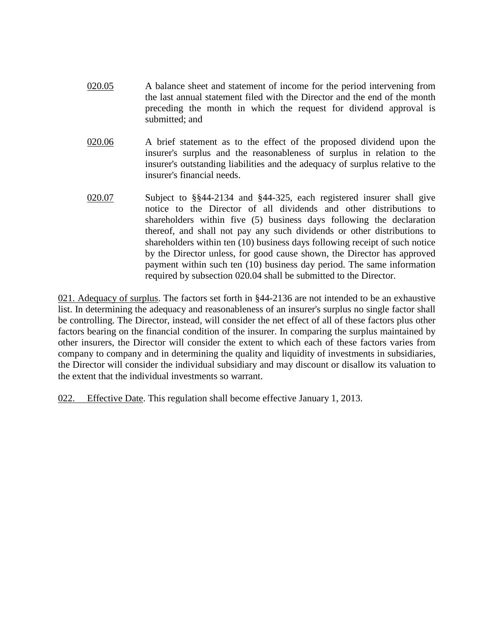- 020.05 A balance sheet and statement of income for the period intervening from the last annual statement filed with the Director and the end of the month preceding the month in which the request for dividend approval is submitted; and
- 020.06 A brief statement as to the effect of the proposed dividend upon the insurer's surplus and the reasonableness of surplus in relation to the insurer's outstanding liabilities and the adequacy of surplus relative to the insurer's financial needs.
- 020.07 Subject to §§44-2134 and §44-325, each registered insurer shall give notice to the Director of all dividends and other distributions to shareholders within five (5) business days following the declaration thereof, and shall not pay any such dividends or other distributions to shareholders within ten (10) business days following receipt of such notice by the Director unless, for good cause shown, the Director has approved payment within such ten (10) business day period. The same information required by subsection 020.04 shall be submitted to the Director.

021. Adequacy of surplus. The factors set forth in §44-2136 are not intended to be an exhaustive list. In determining the adequacy and reasonableness of an insurer's surplus no single factor shall be controlling. The Director, instead, will consider the net effect of all of these factors plus other factors bearing on the financial condition of the insurer. In comparing the surplus maintained by other insurers, the Director will consider the extent to which each of these factors varies from company to company and in determining the quality and liquidity of investments in subsidiaries, the Director will consider the individual subsidiary and may discount or disallow its valuation to the extent that the individual investments so warrant.

022. Effective Date. This regulation shall become effective January 1, 2013.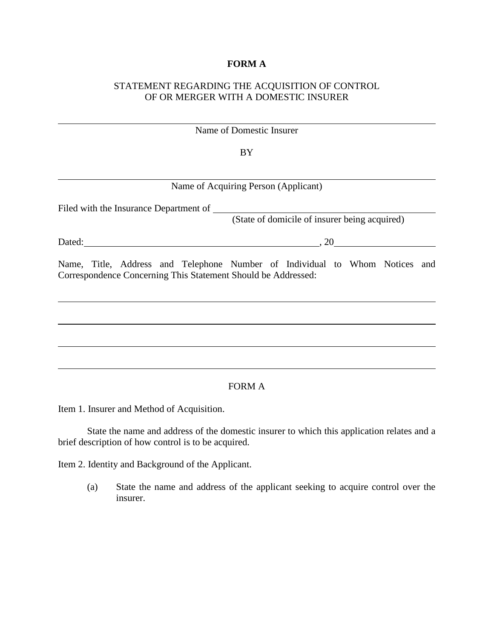## **FORM A**

# STATEMENT REGARDING THE ACQUISITION OF CONTROL OF OR MERGER WITH A DOMESTIC INSURER

|                                                               | Name of Domestic Insurer                                                             |
|---------------------------------------------------------------|--------------------------------------------------------------------------------------|
|                                                               | BY                                                                                   |
|                                                               |                                                                                      |
|                                                               | Name of Acquiring Person (Applicant)                                                 |
|                                                               | Filed with the Insurance Department of (State of domicile of insurer being acquired) |
|                                                               |                                                                                      |
|                                                               | Dated: $20$                                                                          |
| Correspondence Concerning This Statement Should be Addressed: | Name, Title, Address and Telephone Number of Individual to Whom Notices and          |
|                                                               |                                                                                      |
|                                                               |                                                                                      |
|                                                               |                                                                                      |
|                                                               | <b>FORM A</b>                                                                        |

Item 1. Insurer and Method of Acquisition.

State the name and address of the domestic insurer to which this application relates and a brief description of how control is to be acquired.

Item 2. Identity and Background of the Applicant.

(a) State the name and address of the applicant seeking to acquire control over the insurer.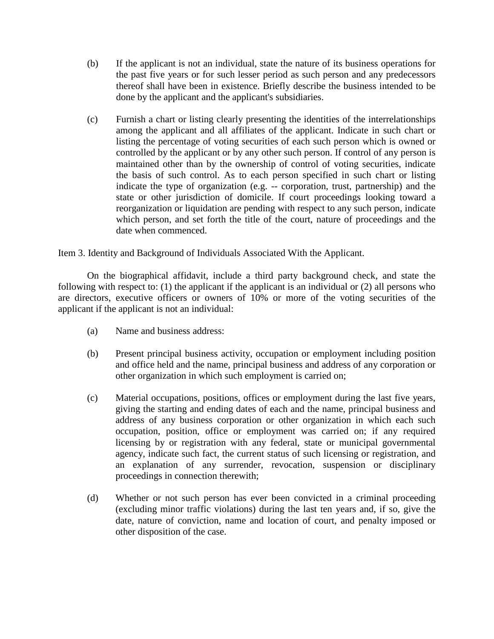- (b) If the applicant is not an individual, state the nature of its business operations for the past five years or for such lesser period as such person and any predecessors thereof shall have been in existence. Briefly describe the business intended to be done by the applicant and the applicant's subsidiaries.
- (c) Furnish a chart or listing clearly presenting the identities of the interrelationships among the applicant and all affiliates of the applicant. Indicate in such chart or listing the percentage of voting securities of each such person which is owned or controlled by the applicant or by any other such person. If control of any person is maintained other than by the ownership of control of voting securities, indicate the basis of such control. As to each person specified in such chart or listing indicate the type of organization (e.g. -- corporation, trust, partnership) and the state or other jurisdiction of domicile. If court proceedings looking toward a reorganization or liquidation are pending with respect to any such person, indicate which person, and set forth the title of the court, nature of proceedings and the date when commenced.

Item 3. Identity and Background of Individuals Associated With the Applicant.

On the biographical affidavit, include a third party background check, and state the following with respect to: (1) the applicant if the applicant is an individual or (2) all persons who are directors, executive officers or owners of 10% or more of the voting securities of the applicant if the applicant is not an individual:

- (a) Name and business address:
- (b) Present principal business activity, occupation or employment including position and office held and the name, principal business and address of any corporation or other organization in which such employment is carried on;
- (c) Material occupations, positions, offices or employment during the last five years, giving the starting and ending dates of each and the name, principal business and address of any business corporation or other organization in which each such occupation, position, office or employment was carried on; if any required licensing by or registration with any federal, state or municipal governmental agency, indicate such fact, the current status of such licensing or registration, and an explanation of any surrender, revocation, suspension or disciplinary proceedings in connection therewith;
- (d) Whether or not such person has ever been convicted in a criminal proceeding (excluding minor traffic violations) during the last ten years and, if so, give the date, nature of conviction, name and location of court, and penalty imposed or other disposition of the case.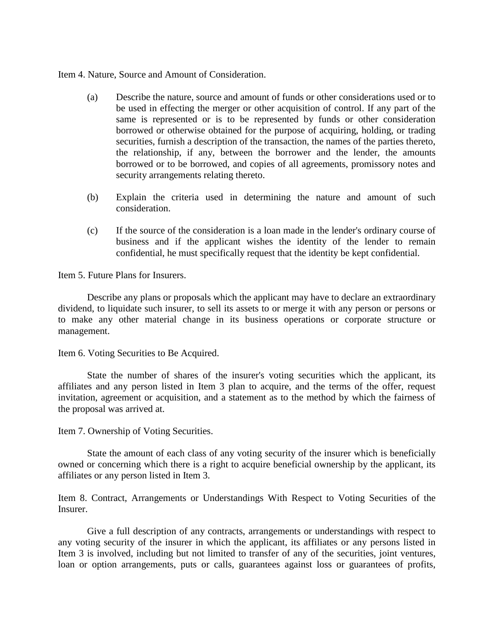Item 4. Nature, Source and Amount of Consideration.

- (a) Describe the nature, source and amount of funds or other considerations used or to be used in effecting the merger or other acquisition of control. If any part of the same is represented or is to be represented by funds or other consideration borrowed or otherwise obtained for the purpose of acquiring, holding, or trading securities, furnish a description of the transaction, the names of the parties thereto, the relationship, if any, between the borrower and the lender, the amounts borrowed or to be borrowed, and copies of all agreements, promissory notes and security arrangements relating thereto.
- (b) Explain the criteria used in determining the nature and amount of such consideration.
- (c) If the source of the consideration is a loan made in the lender's ordinary course of business and if the applicant wishes the identity of the lender to remain confidential, he must specifically request that the identity be kept confidential.

Item 5. Future Plans for Insurers.

Describe any plans or proposals which the applicant may have to declare an extraordinary dividend, to liquidate such insurer, to sell its assets to or merge it with any person or persons or to make any other material change in its business operations or corporate structure or management.

Item 6. Voting Securities to Be Acquired.

State the number of shares of the insurer's voting securities which the applicant, its affiliates and any person listed in Item 3 plan to acquire, and the terms of the offer, request invitation, agreement or acquisition, and a statement as to the method by which the fairness of the proposal was arrived at.

Item 7. Ownership of Voting Securities.

State the amount of each class of any voting security of the insurer which is beneficially owned or concerning which there is a right to acquire beneficial ownership by the applicant, its affiliates or any person listed in Item 3.

Item 8. Contract, Arrangements or Understandings With Respect to Voting Securities of the Insurer.

Give a full description of any contracts, arrangements or understandings with respect to any voting security of the insurer in which the applicant, its affiliates or any persons listed in Item 3 is involved, including but not limited to transfer of any of the securities, joint ventures, loan or option arrangements, puts or calls, guarantees against loss or guarantees of profits,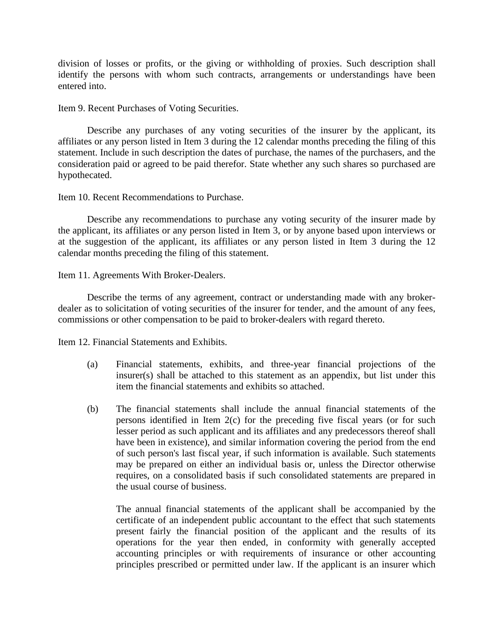division of losses or profits, or the giving or withholding of proxies. Such description shall identify the persons with whom such contracts, arrangements or understandings have been entered into.

Item 9. Recent Purchases of Voting Securities.

Describe any purchases of any voting securities of the insurer by the applicant, its affiliates or any person listed in Item 3 during the 12 calendar months preceding the filing of this statement. Include in such description the dates of purchase, the names of the purchasers, and the consideration paid or agreed to be paid therefor. State whether any such shares so purchased are hypothecated.

Item 10. Recent Recommendations to Purchase.

Describe any recommendations to purchase any voting security of the insurer made by the applicant, its affiliates or any person listed in Item 3, or by anyone based upon interviews or at the suggestion of the applicant, its affiliates or any person listed in Item 3 during the 12 calendar months preceding the filing of this statement.

Item 11. Agreements With Broker-Dealers.

Describe the terms of any agreement, contract or understanding made with any brokerdealer as to solicitation of voting securities of the insurer for tender, and the amount of any fees, commissions or other compensation to be paid to broker-dealers with regard thereto.

Item 12. Financial Statements and Exhibits.

- (a) Financial statements, exhibits, and three-year financial projections of the insurer(s) shall be attached to this statement as an appendix, but list under this item the financial statements and exhibits so attached.
- (b) The financial statements shall include the annual financial statements of the persons identified in Item 2(c) for the preceding five fiscal years (or for such lesser period as such applicant and its affiliates and any predecessors thereof shall have been in existence), and similar information covering the period from the end of such person's last fiscal year, if such information is available. Such statements may be prepared on either an individual basis or, unless the Director otherwise requires, on a consolidated basis if such consolidated statements are prepared in the usual course of business.

The annual financial statements of the applicant shall be accompanied by the certificate of an independent public accountant to the effect that such statements present fairly the financial position of the applicant and the results of its operations for the year then ended, in conformity with generally accepted accounting principles or with requirements of insurance or other accounting principles prescribed or permitted under law. If the applicant is an insurer which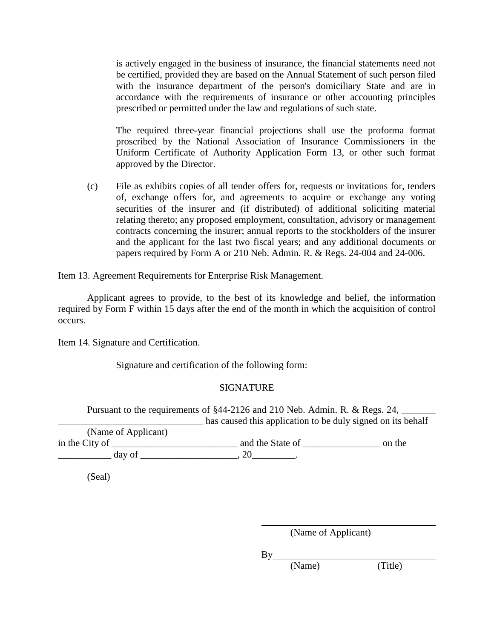is actively engaged in the business of insurance, the financial statements need not be certified, provided they are based on the Annual Statement of such person filed with the insurance department of the person's domiciliary State and are in accordance with the requirements of insurance or other accounting principles prescribed or permitted under the law and regulations of such state.

The required three-year financial projections shall use the proforma format proscribed by the National Association of Insurance Commissioners in the Uniform Certificate of Authority Application Form 13, or other such format approved by the Director.

(c) File as exhibits copies of all tender offers for, requests or invitations for, tenders of, exchange offers for, and agreements to acquire or exchange any voting securities of the insurer and (if distributed) of additional soliciting material relating thereto; any proposed employment, consultation, advisory or management contracts concerning the insurer; annual reports to the stockholders of the insurer and the applicant for the last two fiscal years; and any additional documents or papers required by Form A or 210 Neb. Admin. R. & Regs. 24-004 and 24-006.

Item 13. Agreement Requirements for Enterprise Risk Management.

Applicant agrees to provide, to the best of its knowledge and belief, the information required by Form F within 15 days after the end of the month in which the acquisition of control occurs.

Item 14. Signature and Certification.

Signature and certification of the following form:

## SIGNATURE

Pursuant to the requirements of §44-2126 and 210 Neb. Admin. R. & Regs. 24,  $\Box$  has caused this application to be duly signed on its behalf

(Name of Applicant) in the City of \_\_\_\_\_\_\_\_\_\_\_\_\_\_\_\_\_\_\_\_\_\_\_\_\_\_ and the State of \_\_\_\_\_\_\_\_\_\_\_\_\_\_\_\_ on the  $\frac{day}{f}$  of  $\frac{20}{f}$ 

(Seal)

(Name of Applicant)

By

(Name) (Title)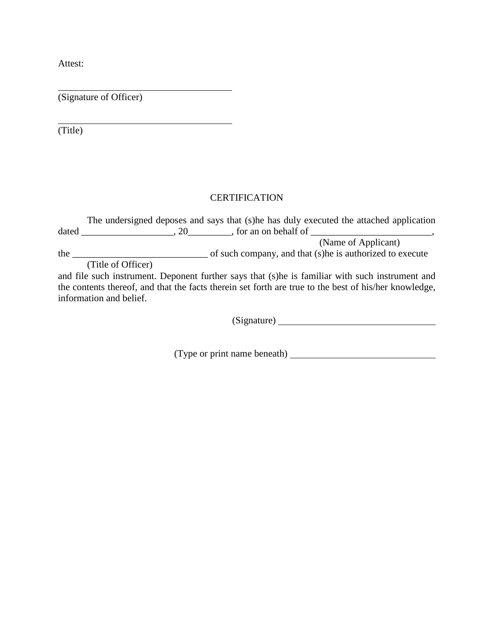Attest:

(Signature of Officer)

(Title)

# **CERTIFICATION**

|       | The undersigned deposes and says that (s) he has duly executed the attached application          |
|-------|--------------------------------------------------------------------------------------------------|
| dated | , for an on behalf of<br>.20                                                                     |
|       | (Name of Applicant)                                                                              |
| the   | of such company, and that (s) he is authorized to execute                                        |
|       | (Title of Officer)                                                                               |
|       | and file such instrument. Deponent further says that (s) he is familiar with such instrument and |
|       |                                                                                                  |

the contents thereof, and that the facts therein set forth are true to the best of his/her knowledge, information and belief.

(Signature)

(Type or print name beneath)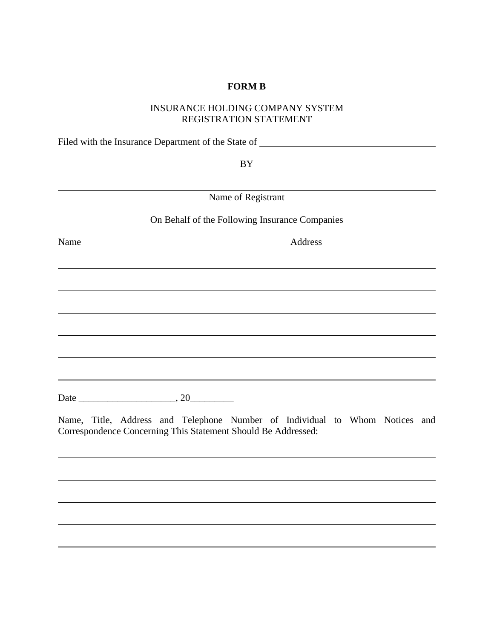## **FORM B**

## INSURANCE HOLDING COMPANY SYSTEM REGISTRATION STATEMENT

Filed with the Insurance Department of the State of \_\_\_\_\_\_\_\_\_\_\_\_\_\_\_\_\_\_\_\_\_\_\_\_\_\_\_\_\_

BY

Name of Registrant

On Behalf of the Following Insurance Companies

Name Address

Date \_\_\_\_\_\_\_\_\_\_\_\_\_\_\_\_\_\_\_\_, 20\_\_\_\_\_\_\_\_\_

Name, Title, Address and Telephone Number of Individual to Whom Notices and Correspondence Concerning This Statement Should Be Addressed: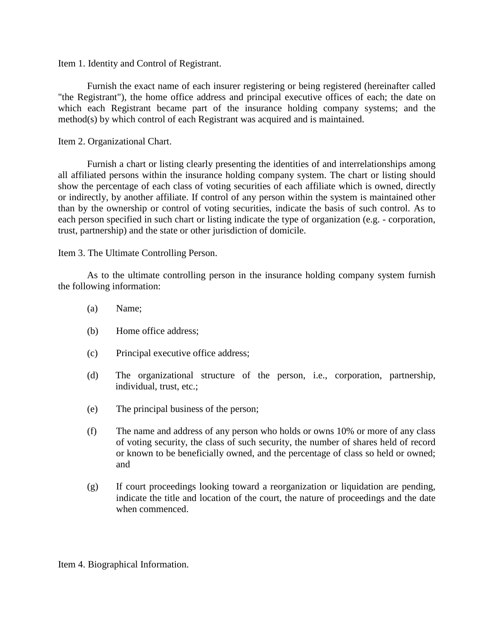Item 1. Identity and Control of Registrant.

Furnish the exact name of each insurer registering or being registered (hereinafter called "the Registrant"), the home office address and principal executive offices of each; the date on which each Registrant became part of the insurance holding company systems; and the method(s) by which control of each Registrant was acquired and is maintained.

Item 2. Organizational Chart.

Furnish a chart or listing clearly presenting the identities of and interrelationships among all affiliated persons within the insurance holding company system. The chart or listing should show the percentage of each class of voting securities of each affiliate which is owned, directly or indirectly, by another affiliate. If control of any person within the system is maintained other than by the ownership or control of voting securities, indicate the basis of such control. As to each person specified in such chart or listing indicate the type of organization (e.g. - corporation, trust, partnership) and the state or other jurisdiction of domicile.

Item 3. The Ultimate Controlling Person.

As to the ultimate controlling person in the insurance holding company system furnish the following information:

- (a) Name;
- (b) Home office address;
- (c) Principal executive office address;
- (d) The organizational structure of the person, i.e., corporation, partnership, individual, trust, etc.;
- (e) The principal business of the person;
- (f) The name and address of any person who holds or owns 10% or more of any class of voting security, the class of such security, the number of shares held of record or known to be beneficially owned, and the percentage of class so held or owned; and
- (g) If court proceedings looking toward a reorganization or liquidation are pending, indicate the title and location of the court, the nature of proceedings and the date when commenced.

Item 4. Biographical Information.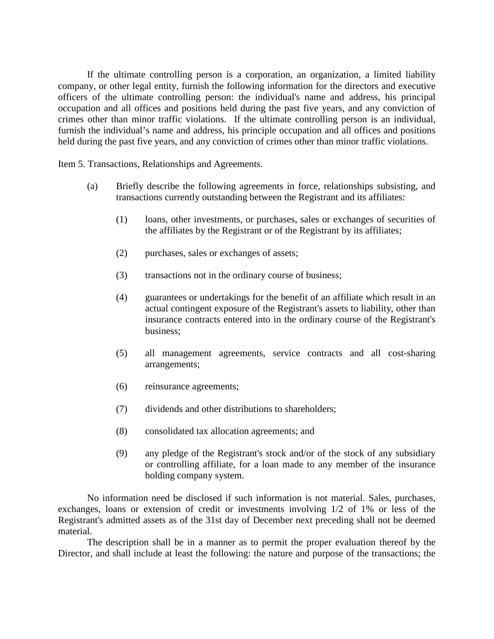If the ultimate controlling person is a corporation, an organization, a limited liability company, or other legal entity, furnish the following information for the directors and executive officers of the ultimate controlling person: the individual's name and address, his principal occupation and all offices and positions held during the past five years, and any conviction of crimes other than minor traffic violations. If the ultimate controlling person is an individual, furnish the individual's name and address, his principle occupation and all offices and positions held during the past five years, and any conviction of crimes other than minor traffic violations.

Item 5. Transactions, Relationships and Agreements.

- (a) Briefly describe the following agreements in force, relationships subsisting, and transactions currently outstanding between the Registrant and its affiliates:
	- (1) loans, other investments, or purchases, sales or exchanges of securities of the affiliates by the Registrant or of the Registrant by its affiliates;
	- (2) purchases, sales or exchanges of assets;
	- (3) transactions not in the ordinary course of business;
	- (4) guarantees or undertakings for the benefit of an affiliate which result in an actual contingent exposure of the Registrant's assets to liability, other than insurance contracts entered into in the ordinary course of the Registrant's business;
	- (5) all management agreements, service contracts and all cost-sharing arrangements;
	- (6) reinsurance agreements;
	- (7) dividends and other distributions to shareholders;
	- (8) consolidated tax allocation agreements; and
	- (9) any pledge of the Registrant's stock and/or of the stock of any subsidiary or controlling affiliate, for a loan made to any member of the insurance holding company system.

No information need be disclosed if such information is not material. Sales, purchases, exchanges, loans or extension of credit or investments involving 1/2 of 1% or less of the Registrant's admitted assets as of the 31st day of December next preceding shall not be deemed material.

The description shall be in a manner as to permit the proper evaluation thereof by the Director, and shall include at least the following: the nature and purpose of the transactions; the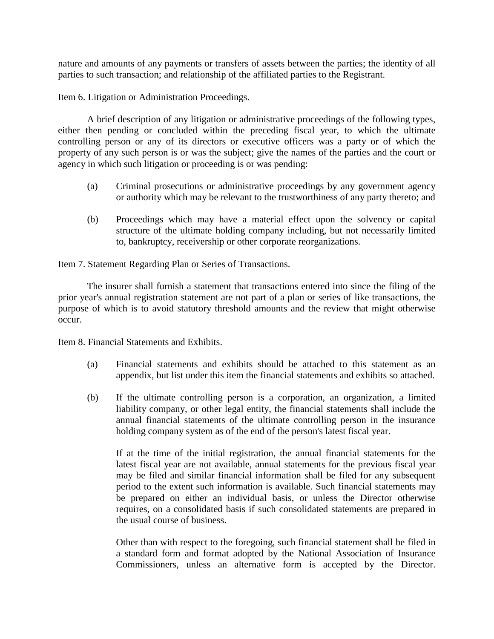nature and amounts of any payments or transfers of assets between the parties; the identity of all parties to such transaction; and relationship of the affiliated parties to the Registrant.

Item 6. Litigation or Administration Proceedings.

A brief description of any litigation or administrative proceedings of the following types, either then pending or concluded within the preceding fiscal year, to which the ultimate controlling person or any of its directors or executive officers was a party or of which the property of any such person is or was the subject; give the names of the parties and the court or agency in which such litigation or proceeding is or was pending:

- (a) Criminal prosecutions or administrative proceedings by any government agency or authority which may be relevant to the trustworthiness of any party thereto; and
- (b) Proceedings which may have a material effect upon the solvency or capital structure of the ultimate holding company including, but not necessarily limited to, bankruptcy, receivership or other corporate reorganizations.

Item 7. Statement Regarding Plan or Series of Transactions.

The insurer shall furnish a statement that transactions entered into since the filing of the prior year's annual registration statement are not part of a plan or series of like transactions, the purpose of which is to avoid statutory threshold amounts and the review that might otherwise occur.

Item 8. Financial Statements and Exhibits.

- (a) Financial statements and exhibits should be attached to this statement as an appendix, but list under this item the financial statements and exhibits so attached.
- (b) If the ultimate controlling person is a corporation, an organization, a limited liability company, or other legal entity, the financial statements shall include the annual financial statements of the ultimate controlling person in the insurance holding company system as of the end of the person's latest fiscal year.

If at the time of the initial registration, the annual financial statements for the latest fiscal year are not available, annual statements for the previous fiscal year may be filed and similar financial information shall be filed for any subsequent period to the extent such information is available. Such financial statements may be prepared on either an individual basis, or unless the Director otherwise requires, on a consolidated basis if such consolidated statements are prepared in the usual course of business.

Other than with respect to the foregoing, such financial statement shall be filed in a standard form and format adopted by the National Association of Insurance Commissioners, unless an alternative form is accepted by the Director.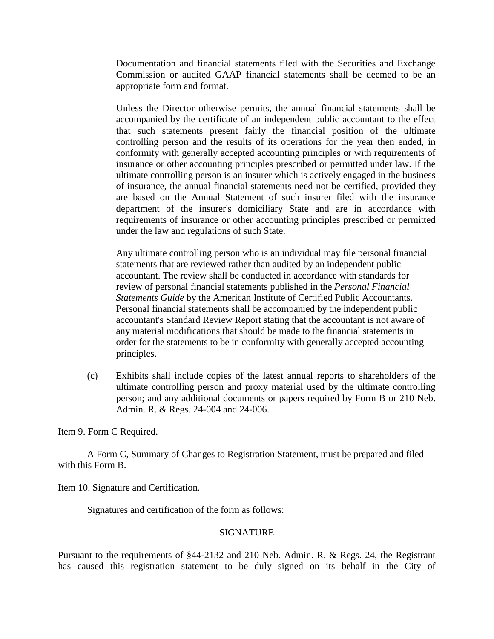Documentation and financial statements filed with the Securities and Exchange Commission or audited GAAP financial statements shall be deemed to be an appropriate form and format.

Unless the Director otherwise permits, the annual financial statements shall be accompanied by the certificate of an independent public accountant to the effect that such statements present fairly the financial position of the ultimate controlling person and the results of its operations for the year then ended, in conformity with generally accepted accounting principles or with requirements of insurance or other accounting principles prescribed or permitted under law. If the ultimate controlling person is an insurer which is actively engaged in the business of insurance, the annual financial statements need not be certified, provided they are based on the Annual Statement of such insurer filed with the insurance department of the insurer's domiciliary State and are in accordance with requirements of insurance or other accounting principles prescribed or permitted under the law and regulations of such State.

Any ultimate controlling person who is an individual may file personal financial statements that are reviewed rather than audited by an independent public accountant. The review shall be conducted in accordance with standards for review of personal financial statements published in the *Personal Financial Statements Guide* by the American Institute of Certified Public Accountants. Personal financial statements shall be accompanied by the independent public accountant's Standard Review Report stating that the accountant is not aware of any material modifications that should be made to the financial statements in order for the statements to be in conformity with generally accepted accounting principles.

(c) Exhibits shall include copies of the latest annual reports to shareholders of the ultimate controlling person and proxy material used by the ultimate controlling person; and any additional documents or papers required by Form B or 210 Neb. Admin. R. & Regs. 24-004 and 24-006.

Item 9. Form C Required.

A Form C, Summary of Changes to Registration Statement, must be prepared and filed with this Form B.

Item 10. Signature and Certification.

Signatures and certification of the form as follows:

### SIGNATURE

Pursuant to the requirements of §44-2132 and 210 Neb. Admin. R. & Regs. 24, the Registrant has caused this registration statement to be duly signed on its behalf in the City of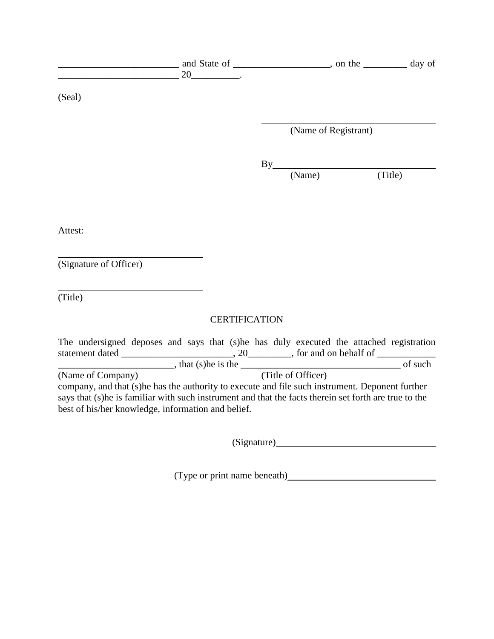| 20                                                                                                                                                                                                                                                                                   |                      |                      |         |  |
|--------------------------------------------------------------------------------------------------------------------------------------------------------------------------------------------------------------------------------------------------------------------------------------|----------------------|----------------------|---------|--|
| (Seal)                                                                                                                                                                                                                                                                               |                      |                      |         |  |
|                                                                                                                                                                                                                                                                                      |                      | (Name of Registrant) |         |  |
|                                                                                                                                                                                                                                                                                      |                      |                      |         |  |
|                                                                                                                                                                                                                                                                                      |                      |                      |         |  |
|                                                                                                                                                                                                                                                                                      |                      | $By$ (Name)          | (Title) |  |
|                                                                                                                                                                                                                                                                                      |                      |                      |         |  |
|                                                                                                                                                                                                                                                                                      |                      |                      |         |  |
| Attest:                                                                                                                                                                                                                                                                              |                      |                      |         |  |
|                                                                                                                                                                                                                                                                                      |                      |                      |         |  |
| (Signature of Officer)                                                                                                                                                                                                                                                               |                      |                      |         |  |
|                                                                                                                                                                                                                                                                                      |                      |                      |         |  |
| (Title)                                                                                                                                                                                                                                                                              |                      |                      |         |  |
|                                                                                                                                                                                                                                                                                      | <b>CERTIFICATION</b> |                      |         |  |
| The undersigned deposes and says that (s)he has duly executed the attached registration                                                                                                                                                                                              |                      |                      |         |  |
|                                                                                                                                                                                                                                                                                      |                      |                      |         |  |
| (Name of Company)<br>company, and that (s) he has the authority to execute and file such instrument. Deponent further<br>says that (s)he is familiar with such instrument and that the facts therein set forth are true to the<br>best of his/her knowledge, information and belief. |                      | (Title of Officer)   |         |  |

(Signature)

(Type or print name beneath)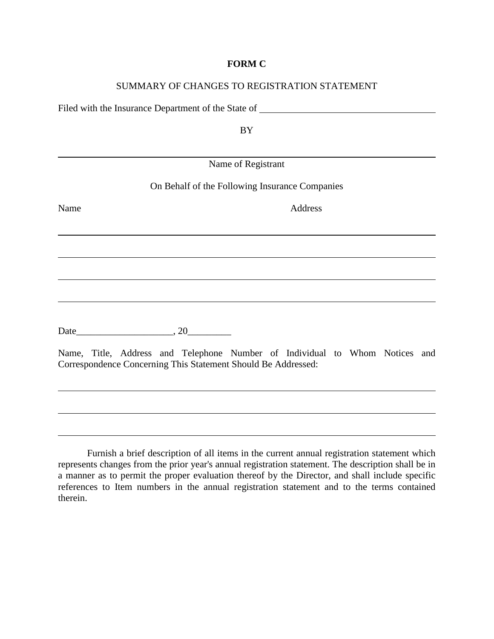#### **FORM C**

### SUMMARY OF CHANGES TO REGISTRATION STATEMENT

Filed with the Insurance Department of the State of

BY

|      | Name of Registrant                                                                                                                           |  |
|------|----------------------------------------------------------------------------------------------------------------------------------------------|--|
|      | On Behalf of the Following Insurance Companies                                                                                               |  |
| Name | Address                                                                                                                                      |  |
|      |                                                                                                                                              |  |
|      |                                                                                                                                              |  |
|      |                                                                                                                                              |  |
|      |                                                                                                                                              |  |
|      | Date $\qquad \qquad .20$                                                                                                                     |  |
|      | Name, Title, Address and Telephone Number of Individual to Whom Notices and<br>Correspondence Concerning This Statement Should Be Addressed: |  |

Furnish a brief description of all items in the current annual registration statement which represents changes from the prior year's annual registration statement. The description shall be in a manner as to permit the proper evaluation thereof by the Director, and shall include specific references to Item numbers in the annual registration statement and to the terms contained therein.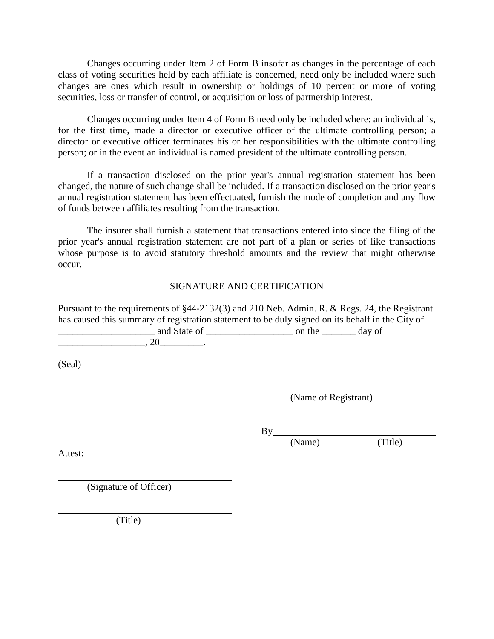Changes occurring under Item 2 of Form B insofar as changes in the percentage of each class of voting securities held by each affiliate is concerned, need only be included where such changes are ones which result in ownership or holdings of 10 percent or more of voting securities, loss or transfer of control, or acquisition or loss of partnership interest.

Changes occurring under Item 4 of Form B need only be included where: an individual is, for the first time, made a director or executive officer of the ultimate controlling person; a director or executive officer terminates his or her responsibilities with the ultimate controlling person; or in the event an individual is named president of the ultimate controlling person.

If a transaction disclosed on the prior year's annual registration statement has been changed, the nature of such change shall be included. If a transaction disclosed on the prior year's annual registration statement has been effectuated, furnish the mode of completion and any flow of funds between affiliates resulting from the transaction.

The insurer shall furnish a statement that transactions entered into since the filing of the prior year's annual registration statement are not part of a plan or series of like transactions whose purpose is to avoid statutory threshold amounts and the review that might otherwise occur.

## SIGNATURE AND CERTIFICATION

Pursuant to the requirements of §44-2132(3) and 210 Neb. Admin. R. & Regs. 24, the Registrant has caused this summary of registration statement to be duly signed on its behalf in the City of \_\_\_\_\_\_\_\_\_\_\_\_\_\_\_\_\_\_\_\_ and State of \_\_\_\_\_\_\_\_\_\_\_\_\_\_\_\_\_\_ on the \_\_\_\_\_\_\_ day of

 $.20$  .

(Seal)

Attest:

(Name of Registrant)

By

(Name) (Title)

(Signature of Officer)

(Title)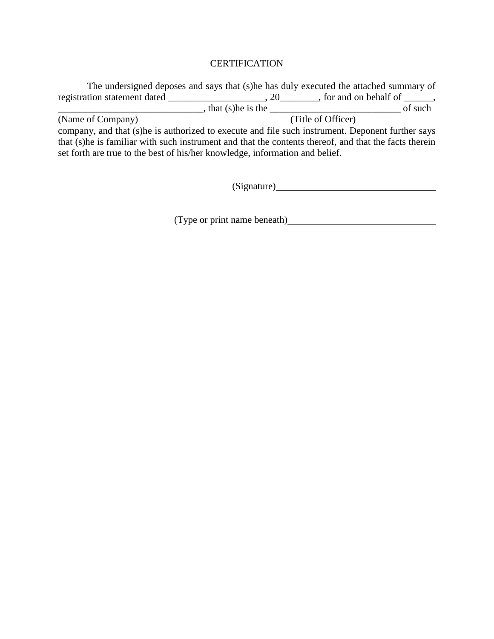### **CERTIFICATION**

The undersigned deposes and says that (s)he has duly executed the attached summary of registration statement dated \_\_\_\_\_\_\_\_\_\_\_\_\_\_\_\_\_\_\_\_\_, 20\_\_\_\_\_\_\_\_, for and on behalf of \_\_\_\_\_\_, \_\_\_\_\_\_\_\_\_\_\_\_\_\_\_\_\_\_\_\_\_\_\_\_\_\_\_\_\_\_, that (s)he is the \_\_\_\_\_\_\_\_\_\_\_\_\_\_\_\_\_\_\_\_\_\_\_\_\_\_\_ of such (Name of Company) (Title of Officer) company, and that (s)he is authorized to execute and file such instrument. Deponent further says that (s)he is familiar with such instrument and that the contents thereof, and that the facts therein set forth are true to the best of his/her knowledge, information and belief.

(Signature)

(Type or print name beneath)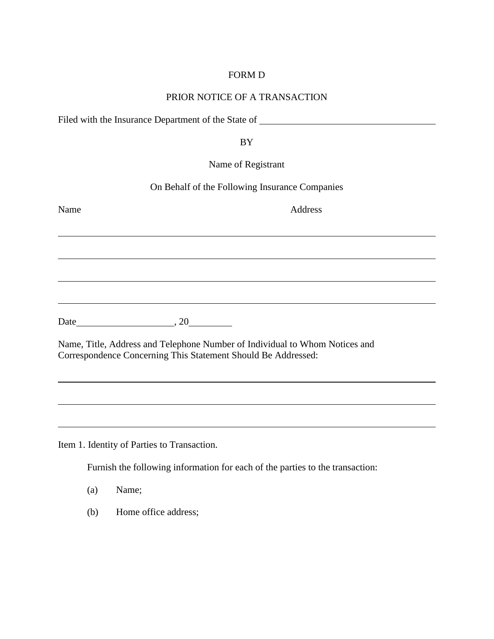## FORM D

## PRIOR NOTICE OF A TRANSACTION

Filed with the Insurance Department of the State of

BY

Name of Registrant

On Behalf of the Following Insurance Companies

| Name                     | Address                                                                                                                                      |
|--------------------------|----------------------------------------------------------------------------------------------------------------------------------------------|
|                          |                                                                                                                                              |
|                          |                                                                                                                                              |
|                          |                                                                                                                                              |
|                          |                                                                                                                                              |
| Date $\qquad \qquad .20$ |                                                                                                                                              |
|                          | Name, Title, Address and Telephone Number of Individual to Whom Notices and<br>Correspondence Concerning This Statement Should Be Addressed: |
|                          |                                                                                                                                              |

Item 1. Identity of Parties to Transaction.

Furnish the following information for each of the parties to the transaction:

- (a) Name;
- (b) Home office address;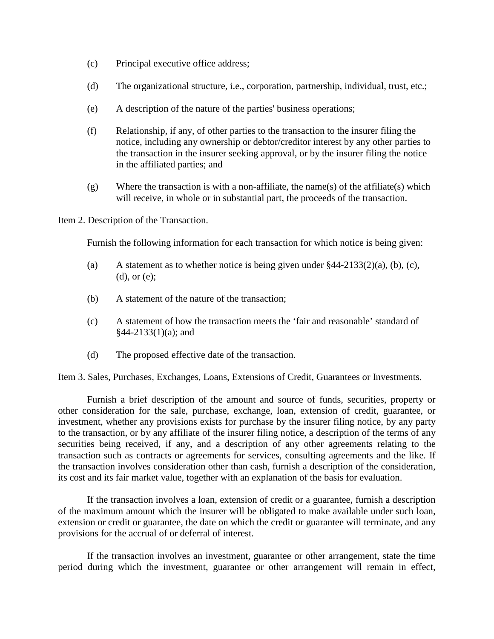- (c) Principal executive office address;
- (d) The organizational structure, i.e., corporation, partnership, individual, trust, etc.;
- (e) A description of the nature of the parties' business operations;
- (f) Relationship, if any, of other parties to the transaction to the insurer filing the notice, including any ownership or debtor/creditor interest by any other parties to the transaction in the insurer seeking approval, or by the insurer filing the notice in the affiliated parties; and
- $(g)$  Where the transaction is with a non-affiliate, the name(s) of the affiliate(s) which will receive, in whole or in substantial part, the proceeds of the transaction.

Item 2. Description of the Transaction.

Furnish the following information for each transaction for which notice is being given:

- (a) A statement as to whether notice is being given under  $\frac{244-2133(2)(a)}{b}$ , (b), (c), (d), or (e);
- (b) A statement of the nature of the transaction;
- (c) A statement of how the transaction meets the 'fair and reasonable' standard of §44-2133(1)(a); and
- (d) The proposed effective date of the transaction.

Item 3. Sales, Purchases, Exchanges, Loans, Extensions of Credit, Guarantees or Investments.

Furnish a brief description of the amount and source of funds, securities, property or other consideration for the sale, purchase, exchange, loan, extension of credit, guarantee, or investment, whether any provisions exists for purchase by the insurer filing notice, by any party to the transaction, or by any affiliate of the insurer filing notice, a description of the terms of any securities being received, if any, and a description of any other agreements relating to the transaction such as contracts or agreements for services, consulting agreements and the like. If the transaction involves consideration other than cash, furnish a description of the consideration, its cost and its fair market value, together with an explanation of the basis for evaluation.

If the transaction involves a loan, extension of credit or a guarantee, furnish a description of the maximum amount which the insurer will be obligated to make available under such loan, extension or credit or guarantee, the date on which the credit or guarantee will terminate, and any provisions for the accrual of or deferral of interest.

If the transaction involves an investment, guarantee or other arrangement, state the time period during which the investment, guarantee or other arrangement will remain in effect,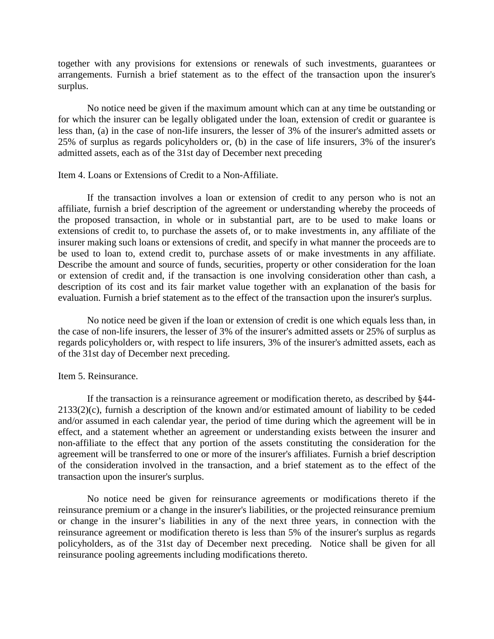together with any provisions for extensions or renewals of such investments, guarantees or arrangements. Furnish a brief statement as to the effect of the transaction upon the insurer's surplus.

No notice need be given if the maximum amount which can at any time be outstanding or for which the insurer can be legally obligated under the loan, extension of credit or guarantee is less than, (a) in the case of non-life insurers, the lesser of 3% of the insurer's admitted assets or 25% of surplus as regards policyholders or, (b) in the case of life insurers, 3% of the insurer's admitted assets, each as of the 31st day of December next preceding

#### Item 4. Loans or Extensions of Credit to a Non-Affiliate.

If the transaction involves a loan or extension of credit to any person who is not an affiliate, furnish a brief description of the agreement or understanding whereby the proceeds of the proposed transaction, in whole or in substantial part, are to be used to make loans or extensions of credit to, to purchase the assets of, or to make investments in, any affiliate of the insurer making such loans or extensions of credit, and specify in what manner the proceeds are to be used to loan to, extend credit to, purchase assets of or make investments in any affiliate. Describe the amount and source of funds, securities, property or other consideration for the loan or extension of credit and, if the transaction is one involving consideration other than cash, a description of its cost and its fair market value together with an explanation of the basis for evaluation. Furnish a brief statement as to the effect of the transaction upon the insurer's surplus.

No notice need be given if the loan or extension of credit is one which equals less than, in the case of non-life insurers, the lesser of 3% of the insurer's admitted assets or 25% of surplus as regards policyholders or, with respect to life insurers, 3% of the insurer's admitted assets, each as of the 31st day of December next preceding.

#### Item 5. Reinsurance.

If the transaction is a reinsurance agreement or modification thereto, as described by §44- 2133(2)(c), furnish a description of the known and/or estimated amount of liability to be ceded and/or assumed in each calendar year, the period of time during which the agreement will be in effect, and a statement whether an agreement or understanding exists between the insurer and non-affiliate to the effect that any portion of the assets constituting the consideration for the agreement will be transferred to one or more of the insurer's affiliates. Furnish a brief description of the consideration involved in the transaction, and a brief statement as to the effect of the transaction upon the insurer's surplus.

No notice need be given for reinsurance agreements or modifications thereto if the reinsurance premium or a change in the insurer's liabilities, or the projected reinsurance premium or change in the insurer's liabilities in any of the next three years, in connection with the reinsurance agreement or modification thereto is less than 5% of the insurer's surplus as regards policyholders, as of the 31st day of December next preceding. Notice shall be given for all reinsurance pooling agreements including modifications thereto.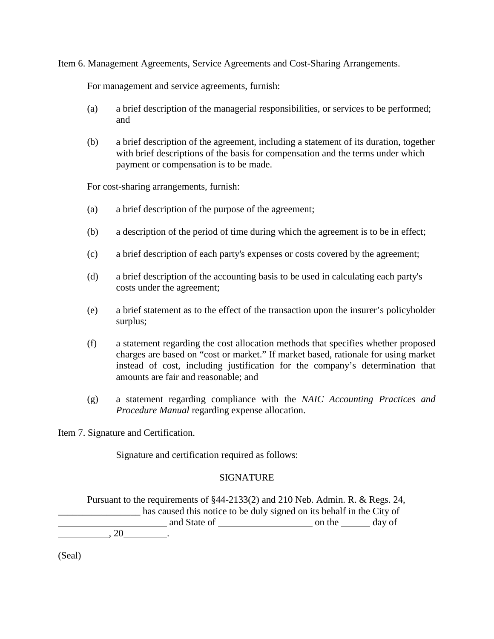Item 6. Management Agreements, Service Agreements and Cost-Sharing Arrangements.

For management and service agreements, furnish:

- (a) a brief description of the managerial responsibilities, or services to be performed; and
- (b) a brief description of the agreement, including a statement of its duration, together with brief descriptions of the basis for compensation and the terms under which payment or compensation is to be made.

For cost-sharing arrangements, furnish:

- (a) a brief description of the purpose of the agreement;
- (b) a description of the period of time during which the agreement is to be in effect;
- (c) a brief description of each party's expenses or costs covered by the agreement;
- (d) a brief description of the accounting basis to be used in calculating each party's costs under the agreement;
- (e) a brief statement as to the effect of the transaction upon the insurer's policyholder surplus;
- (f) a statement regarding the cost allocation methods that specifies whether proposed charges are based on "cost or market." If market based, rationale for using market instead of cost, including justification for the company's determination that amounts are fair and reasonable; and
- (g) a statement regarding compliance with the *NAIC Accounting Practices and Procedure Manual* regarding expense allocation.

Item 7. Signature and Certification.

Signature and certification required as follows:

### **SIGNATURE**

Pursuant to the requirements of §44-2133(2) and 210 Neb. Admin. R. & Regs. 24, has caused this notice to be duly signed on its behalf in the City of and State of on the day of  $, 20$   $.$ 

(Seal)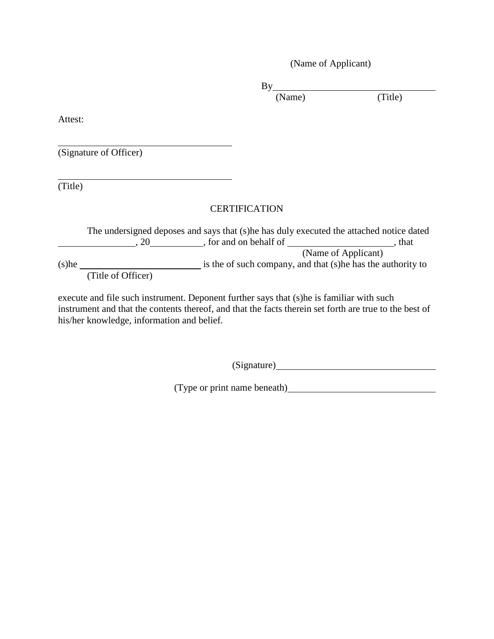(Name of Applicant)

By

(Name) (Title)

Attest:

(Signature of Officer)

(Title)

# **CERTIFICATION**

The undersigned deposes and says that (s)he has duly executed the attached notice dated  $, 20$ , for and on behalf of  $,$  that (Name of Applicant)  $(s)$ he  $\frac{1}{s}$  is the of such company, and that  $(s)$ he has the authority to (Title of Officer)

execute and file such instrument. Deponent further says that (s)he is familiar with such instrument and that the contents thereof, and that the facts therein set forth are true to the best of his/her knowledge, information and belief.

(Signature)

(Type or print name beneath)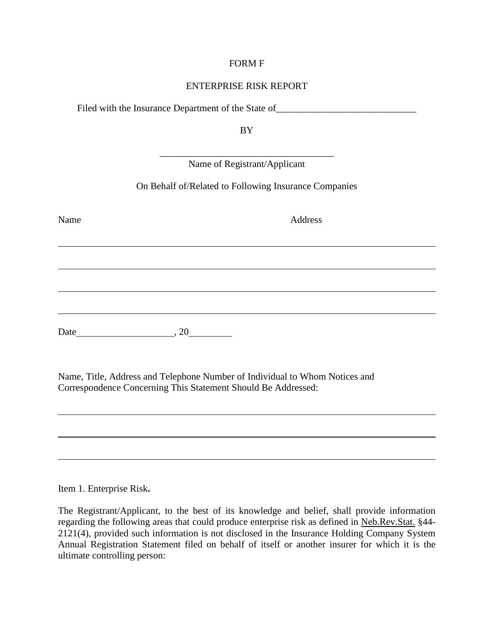### FORM F

### ENTERPRISE RISK REPORT

Filed with the Insurance Department of the State of \_\_\_\_\_\_\_\_\_\_\_\_\_\_\_\_\_\_\_\_\_\_\_\_\_\_\_\_\_

BY

|      | Name of Registrant/Applicant                          |
|------|-------------------------------------------------------|
|      | On Behalf of/Related to Following Insurance Companies |
| Name | Address                                               |
|      |                                                       |
|      |                                                       |
|      |                                                       |
| Date | .20                                                   |

Name, Title, Address and Telephone Number of Individual to Whom Notices and Correspondence Concerning This Statement Should Be Addressed:

Item 1. Enterprise Risk**.**

The Registrant/Applicant, to the best of its knowledge and belief, shall provide information regarding the following areas that could produce enterprise risk as defined in Neb.Rev.Stat. §44- 2121(4), provided such information is not disclosed in the Insurance Holding Company System Annual Registration Statement filed on behalf of itself or another insurer for which it is the ultimate controlling person: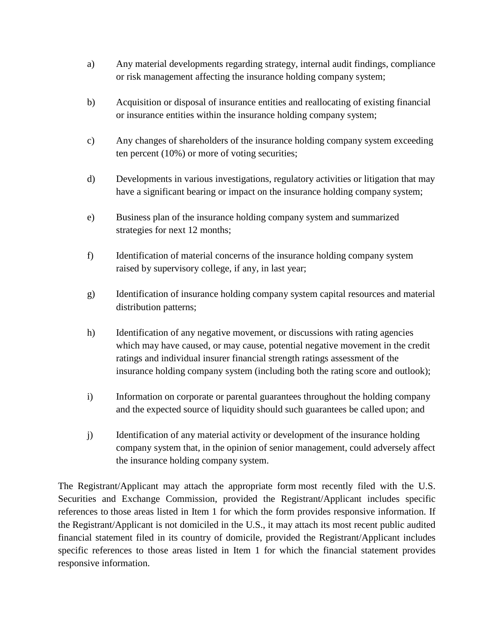- a) Any material developments regarding strategy, internal audit findings, compliance or risk management affecting the insurance holding company system;
- b) Acquisition or disposal of insurance entities and reallocating of existing financial or insurance entities within the insurance holding company system;
- c) Any changes of shareholders of the insurance holding company system exceeding ten percent (10%) or more of voting securities;
- d) Developments in various investigations, regulatory activities or litigation that may have a significant bearing or impact on the insurance holding company system;
- e) Business plan of the insurance holding company system and summarized strategies for next 12 months;
- f) Identification of material concerns of the insurance holding company system raised by supervisory college, if any, in last year;
- g) Identification of insurance holding company system capital resources and material distribution patterns;
- h) Identification of any negative movement, or discussions with rating agencies which may have caused, or may cause, potential negative movement in the credit ratings and individual insurer financial strength ratings assessment of the insurance holding company system (including both the rating score and outlook);
- i) Information on corporate or parental guarantees throughout the holding company and the expected source of liquidity should such guarantees be called upon; and
- j) Identification of any material activity or development of the insurance holding company system that, in the opinion of senior management, could adversely affect the insurance holding company system.

The Registrant/Applicant may attach the appropriate form most recently filed with the U.S. Securities and Exchange Commission, provided the Registrant/Applicant includes specific references to those areas listed in Item 1 for which the form provides responsive information. If the Registrant/Applicant is not domiciled in the U.S., it may attach its most recent public audited financial statement filed in its country of domicile, provided the Registrant/Applicant includes specific references to those areas listed in Item 1 for which the financial statement provides responsive information.